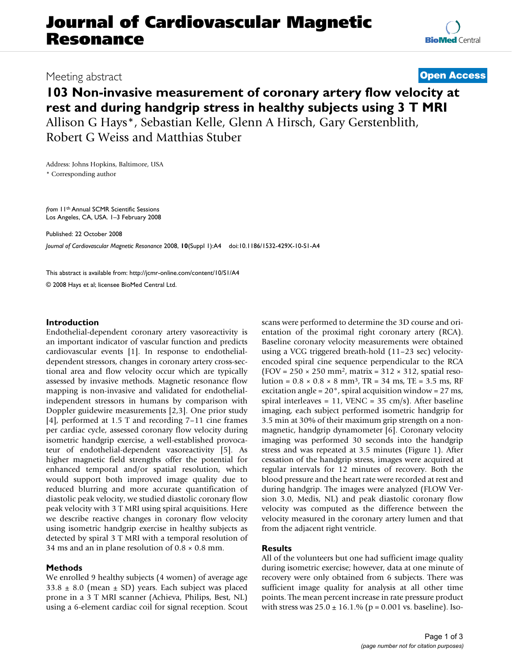# **Journal of Cardiovascular Magnetic Resonance**

## Meeting abstract **[Open Access](http://www.biomedcentral.com/info/about/charter/) 103 Non-invasive measurement of coronary artery flow velocity at rest and during handgrip stress in healthy subjects using 3 T MRI** Allison G Hays\*, Sebastian Kelle, Glenn A Hirsch, Gary Gerstenblith,

Robert G Weiss and Matthias Stuber

Address: Johns Hopkins, Baltimore, USA \* Corresponding author

*from* 11th Annual SCMR Scientific Sessions Los Angeles, CA, USA. 1–3 February 2008

Published: 22 October 2008

*Journal of Cardiovascular Magnetic Resonance* 2008, **10**(Suppl 1):A4 doi:10.1186/1532-429X-10-S1-A4

[This abstract is available from: http://jcmr-online.com/content/10/S1/A4](http://jcmr-online.com/content/10/S1/A4)

© 2008 Hays et al; licensee BioMed Central Ltd.

### **Introduction**

Endothelial-dependent coronary artery vasoreactivity is an important indicator of vascular function and predicts cardiovascular events [1]. In response to endothelialdependent stressors, changes in coronary artery cross-sectional area and flow velocity occur which are typically assessed by invasive methods. Magnetic resonance flow mapping is non-invasive and validated for endothelialindependent stressors in humans by comparison with Doppler guidewire measurements [2,3]. One prior study [4], performed at 1.5 T and recording 7–11 cine frames per cardiac cycle, assessed coronary flow velocity during isometric handgrip exercise, a well-established provocateur of endothelial-dependent vasoreactivity [5]. As higher magnetic field strengths offer the potential for enhanced temporal and/or spatial resolution, which would support both improved image quality due to reduced blurring and more accurate quantification of diastolic peak velocity, we studied diastolic coronary flow peak velocity with 3 T MRI using spiral acquisitions. Here we describe reactive changes in coronary flow velocity using isometric handgrip exercise in healthy subjects as detected by spiral 3 T MRI with a temporal resolution of 34 ms and an in plane resolution of  $0.8 \times 0.8$  mm.

### **Methods**

We enrolled 9 healthy subjects (4 women) of average age  $33.8 \pm 8.0$  (mean  $\pm$  SD) years. Each subject was placed prone in a 3 T MRI scanner (Achieva, Philips, Best, NL) using a 6-element cardiac coil for signal reception. Scout scans were performed to determine the 3D course and orientation of the proximal right coronary artery (RCA). Baseline coronary velocity measurements were obtained using a VCG triggered breath-hold (11–23 sec) velocityencoded spiral cine sequence perpendicular to the RCA  $(FOV = 250 \times 250 \text{ mm}^2, \text{ matrix} = 312 \times 312, \text{ spatial reso-}$ lution =  $0.8 \times 0.8 \times 8$  mm<sup>3</sup>, TR = 34 ms, TE = 3.5 ms, RF excitation angle =  $20^{\circ}$ , spiral acquisition window =  $27$  ms, spiral interleaves =  $11$ , VENC =  $35 \text{ cm/s}$ ). After baseline imaging, each subject performed isometric handgrip for 3.5 min at 30% of their maximum grip strength on a nonmagnetic, handgrip dynamometer [6]. Coronary velocity imaging was performed 30 seconds into the handgrip stress and was repeated at 3.5 minutes (Figure 1). After cessation of the handgrip stress, images were acquired at regular intervals for 12 minutes of recovery. Both the blood pressure and the heart rate were recorded at rest and during handgrip. The images were analyzed (FLOW Version 3.0, Medis, NL) and peak diastolic coronary flow velocity was computed as the difference between the velocity measured in the coronary artery lumen and that from the adjacent right ventricle.

### **Results**

All of the volunteers but one had sufficient image quality during isometric exercise; however, data at one minute of recovery were only obtained from 6 subjects. There was sufficient image quality for analysis at all other time points. The mean percent increase in rate pressure product with stress was  $25.0 \pm 16.1$ % (p = 0.001 vs. baseline). Iso-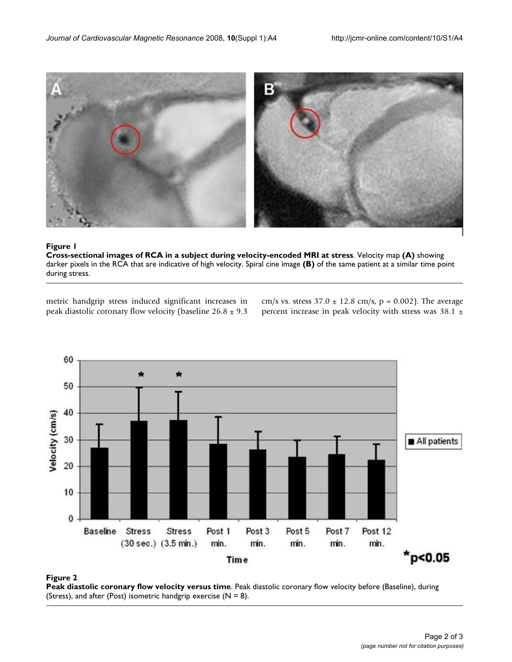

### Figure 1

**Cross-sectional images of RCA in a subject during velocity-encoded MRI at stress**. Velocity map **(A)** showing darker pixels in the RCA that are indicative of high velocity. Spiral cine image **(B)** of the same patient at a similar time point during stress.

metric handgrip stress induced significant increases in peak diastolic coronary flow velocity (baseline  $26.8 \pm 9.3$  cm/s vs. stress  $37.0 \pm 12.8$  cm/s, p = 0.002). The average percent increase in peak velocity with stress was 38.1 ±



### **Figure 2**

**Peak diastolic coronary flow velocity versus time**. Peak diastolic coronary flow velocity before (Baseline), during (Stress), and after (Post) isometric handgrip exercise ( $N = 8$ ).